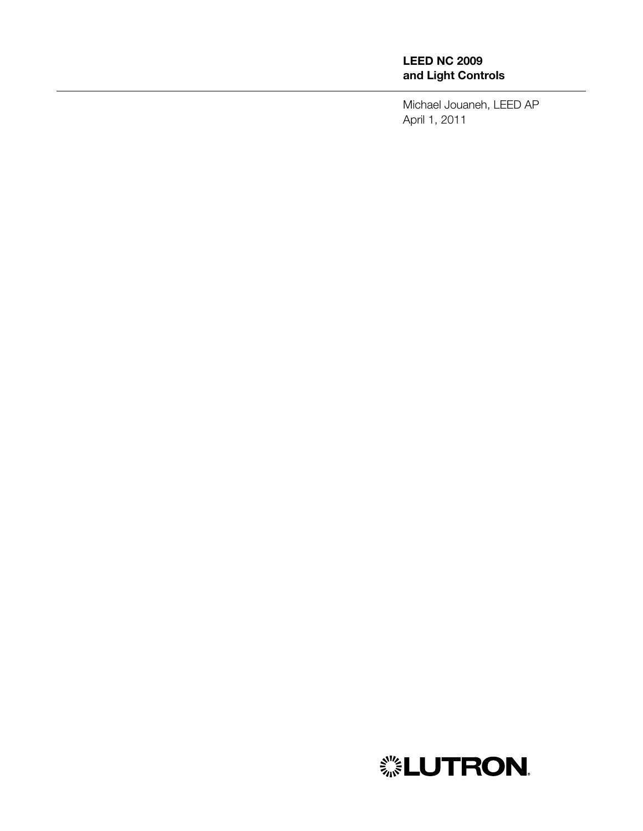#### LEED NC 2009 and Light Controls

Michael Jouaneh, LEED AP April 1, 2011

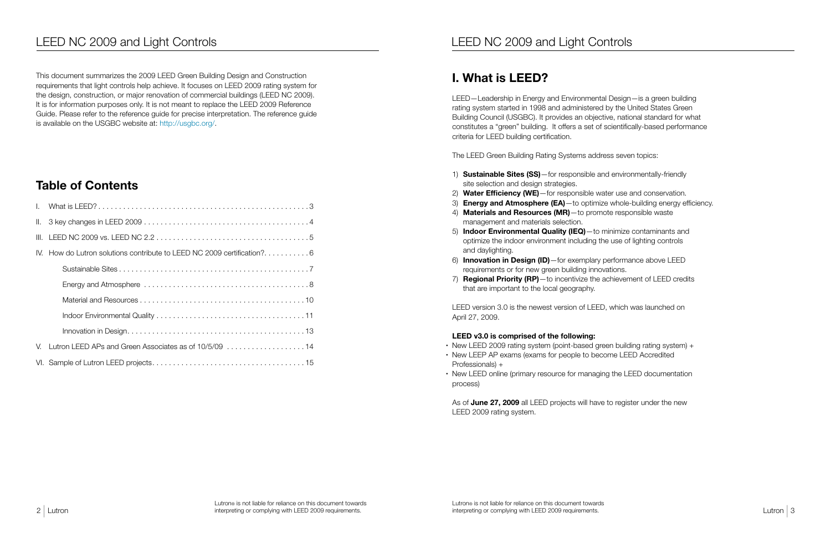# LEED NC 2009 and Light Controls **LEED NC 2009** and Light Controls

This document summarizes the 2009 LEED Green Building Design and Construction requirements that light controls help achieve. It focuses on LEED 2009 rating system for the design, construction, or major renovation of commercial buildings (LEED NC 2009). It is for information purposes only. It is not meant to replace the LEED 2009 Reference Guide. Please refer to the reference guide for precise interpretation. The reference guide is available on the USGBC website at: http://usgbc.org/.

## Table of Contents

| IV. How do Lutron solutions contribute to LEED NC 2009 certification?6 |
|------------------------------------------------------------------------|
|                                                                        |
|                                                                        |
|                                                                        |
|                                                                        |
|                                                                        |
| V. Lutron LEED APs and Green Associates as of 10/5/09 14               |
|                                                                        |

- 1) **Sustainable Sites (SS)**—for responsible and environmentally-friendly site selection and design strategies.
- 2) Water Efficiency (WE) for responsible water use and conservation.
- 3) **Energy and Atmosphere (EA)**—to optimize whole-building energy efficiency.
- 4) Materials and Resources (MR)-to promote responsible waste management and materials selection.
- 5) Indoor Environmental Quality (IEQ)—to minimize contaminants and optimize the indoor environment including the use of lighting controls and daylighting.
- 6) Innovation in Design (ID)—for exemplary performance above LEED requirements or for new green building innovations.
- 7) **Regional Priority (RP)**—to incentivize the achievement of LEED credits that are important to the local geography.

- New LEED 2009 rating system (point-based green building rating system) +
- New LEEP AP exams (exams for people to become LEED Accredited Professionals) +
- New LEED online (primary resource for managing the LEED documentation process)

As of June 27, 2009 all LEED projects will have to register under the new LEED 2009 rating system.

## I. What is LEED?

LEED—Leadership in Energy and Environmental Design—is a green building rating system started in 1998 and administered by the United States Green Building Council (USGBC). It provides an objective, national standard for what constitutes a "green" building. It offers a set of scientifically-based performance criteria for LEED building certification.

The LEED Green Building Rating Systems address seven topics:

LEED version 3.0 is the newest version of LEED, which was launched on April 27, 2009.

#### LEED v3.0 is comprised of the following: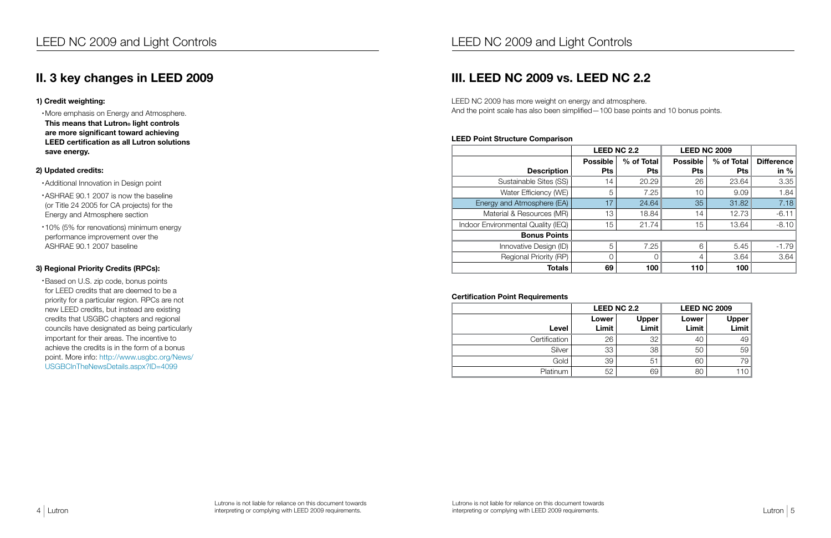#### 1) Credit weighting:

• More emphasis on Energy and Atmosphere. This means that Lutron® light controls are more significant toward achieving LEED certification as all Lutron solutions save energy.

#### 2) Updated credits:

- • Additional Innovation in Design point
- • ASHRAE 90.1 2007 is now the baseline (or Title 24 2005 for CA projects) for the Energy and Atmosphere section
- • 10% (5% for renovations) minimum energy performance improvement over the ASHRAE 90.1 2007 baseline

#### 3) Regional Priority Credits (RPCs):

• Based on U.S. zip code, bonus points for LEED credits that are deemed to be a priority for a particular region. RPCs are not new LEED credits, but instead are existing credits that USGBC chapters and regional councils have designated as being particularly important for their areas. The incentive to achieve the credits is in the form of a bonus point. More info: http://www.usgbc.org/News/ USGBCInTheNewsDetails.aspx?ID=4099

# III. LEED NC 2009 vs. LEED NC 2.2

LEED NC 2009 has more weight on energy and atmosphere. And the point scale has also been simplified—100 base points and 10 bonus points.

#### LEED Point Structure Comparison

|                                    | <b>LEED NC 2.2</b> |            | <b>LEED NC 2009</b> |            |            |
|------------------------------------|--------------------|------------|---------------------|------------|------------|
|                                    | <b>Possible</b>    | % of Total | <b>Possible</b>     | % of Total | Difference |
| <b>Description</b>                 | <b>Pts</b>         | <b>Pts</b> | <b>Pts</b>          | <b>Pts</b> | in % $ $   |
| Sustainable Sites (SS)             | 14                 | 20.29      | 26                  | 23.64      | 3.35       |
| Water Efficiency (WE)              | 5                  | 7.25       | 10                  | 9.09       | 1.84       |
| Energy and Atmosphere (EA)         | 17                 | 24.64      | 35                  | 31.82      | 7.18       |
| Material & Resources (MR)          | 13                 | 18.84      | 14                  | 12.73      | $-6.11$    |
| Indoor Environmental Quality (IEQ) | 15                 | 21.74      | 15                  | 13.64      | $-8.10$    |
| <b>Bonus Points</b>                |                    |            |                     |            |            |
| Innovative Design (ID)             | 5                  | 7.25       | 6                   | 5.45       | $-1.79$    |
| Regional Priority (RP)             | 0                  | 0          | 4                   | 3.64       | 3.64       |
| <b>Totals</b>                      | 69                 | 100        | 110                 | 100        |            |

#### Certification Point Requirements

|               |                | <b>LEED NC 2.2</b>    | <b>LEED NC 2009</b> |                  |  |
|---------------|----------------|-----------------------|---------------------|------------------|--|
| Level         | Lower<br>Limit | <b>Upper</b><br>Limit | Lower<br>Limit      | Upper  <br>Limit |  |
| Certification | 26             | 32                    | 40                  | 49               |  |
| Silver        | 33             | 38                    | 50                  | 59               |  |
| Gold          | 39             | 51                    | 60                  | 79               |  |
| Platinum      | 52             | 69                    | 80                  |                  |  |

### II. 3 key changes in LEED 2009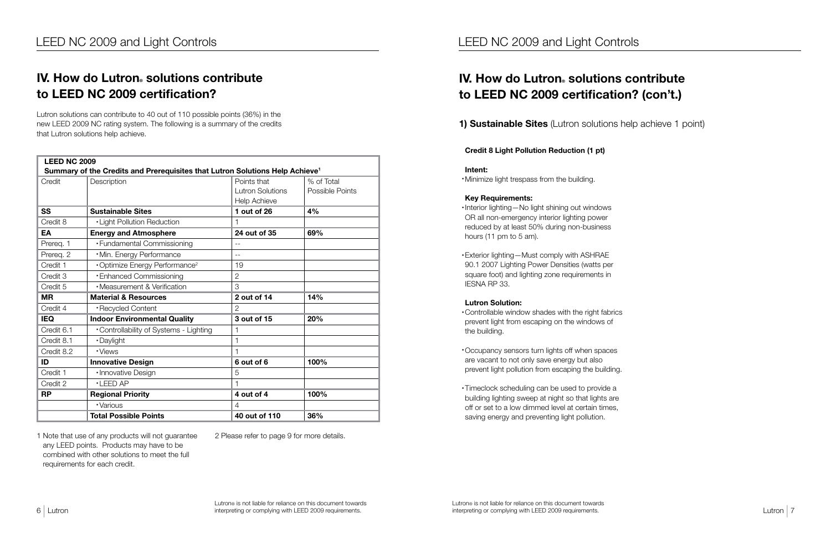# IV. How do Lutron® solutions contribute to LEED NC 2009 certification? (con't.)

1) Sustainable Sites (Lutron solutions help achieve 1 point)

#### Credit 8 Light Pollution Reduction (1 pt)

#### Intent:

• Minimize light trespass from the building.

#### Key Requirements:

- • Interior lighting—No light shining out windows OR all non-emergency interior lighting power reduced by at least 50% during non-business hours (11 pm to 5 am).
- Exterior lighting Must comply with ASHRAE 90.1 2007 Lighting Power Densities (watts per square foot) and lighting zone requirements in IESNA RP 33.

# IV. How do Lutron® solutions contribute to LEED NC 2009 certification?

#### Lutron Solution:

- • Controllable window shades with the right fabrics prevent light from escaping on the windows of the building.
- • Occupancy sensors turn lights off when spaces are vacant to not only save energy but also prevent light pollution from escaping the building.
- • Timeclock scheduling can be used to provide a building lighting sweep at night so that lights are off or set to a low dimmed level at certain times, saving energy and preventing light pollution.

Lutron solutions can contribute to 40 out of 110 possible points (36%) in the new LEED 2009 NC rating system. The following is a summary of the credits that Lutron solutions help achieve.

| <b>LEED NC 2009</b>                          | Summary of the Credits and Prerequisites that Lutron Solutions Help Achieve <sup>1</sup> |                                                               |                               |  |
|----------------------------------------------|------------------------------------------------------------------------------------------|---------------------------------------------------------------|-------------------------------|--|
| Credit                                       | Description                                                                              | Points that<br><b>Lutron Solutions</b><br><b>Help Achieve</b> | % of Total<br>Possible Points |  |
| <b>SS</b>                                    | <b>Sustainable Sites</b>                                                                 | 1 out of 26                                                   | 4%                            |  |
| Credit 8                                     | <b>.</b> Light Pollution Reduction                                                       |                                                               |                               |  |
| EA                                           | <b>Energy and Atmosphere</b>                                                             | 24 out of 35                                                  | 69%                           |  |
| Prereq. 1                                    | • Fundamental Commissioning                                                              | $ -$                                                          |                               |  |
| Prereq. 2                                    | ·Min. Energy Performance                                                                 | $-$                                                           |                               |  |
| Credit 1                                     | <b>.</b> Optimize Energy Performance <sup>2</sup>                                        | 19                                                            |                               |  |
| Credit 3                                     | <b>• Enhanced Commissioning</b>                                                          | $\overline{2}$                                                |                               |  |
| Credit 5                                     | • Measurement & Verification                                                             | 3                                                             |                               |  |
| <b>MR</b><br><b>Material &amp; Resources</b> |                                                                                          | 2 out of 14                                                   | 14%                           |  |
| Credit 4                                     | ·Recycled Content                                                                        | 2                                                             |                               |  |
| <b>IEQ</b>                                   | <b>Indoor Environmental Quality</b>                                                      | 3 out of 15                                                   | 20%                           |  |
| Credit 6.1                                   | •Controllability of Systems - Lighting                                                   |                                                               |                               |  |
| Credit 8.1                                   | ·Daylight                                                                                |                                                               |                               |  |
| Credit 8.2                                   | • Views                                                                                  |                                                               |                               |  |
| ID                                           | <b>Innovative Design</b>                                                                 | 6 out of 6                                                    | 100%                          |  |
| Credit 1                                     | · Innovative Design                                                                      | 5                                                             |                               |  |
| Credit 2                                     | $\cdot$ LEED AP                                                                          |                                                               |                               |  |
| <b>RP</b>                                    | <b>Regional Priority</b>                                                                 | 4 out of 4                                                    | 100%                          |  |
|                                              | · Various                                                                                | $\overline{4}$                                                |                               |  |
|                                              | <b>Total Possible Points</b>                                                             | 40 out of 110                                                 | 36%                           |  |

1 Note that use of any products will not guarantee any LEED points. Products may have to be combined with other solutions to meet the full requirements for each credit.

2 Please refer to page 9 for more details.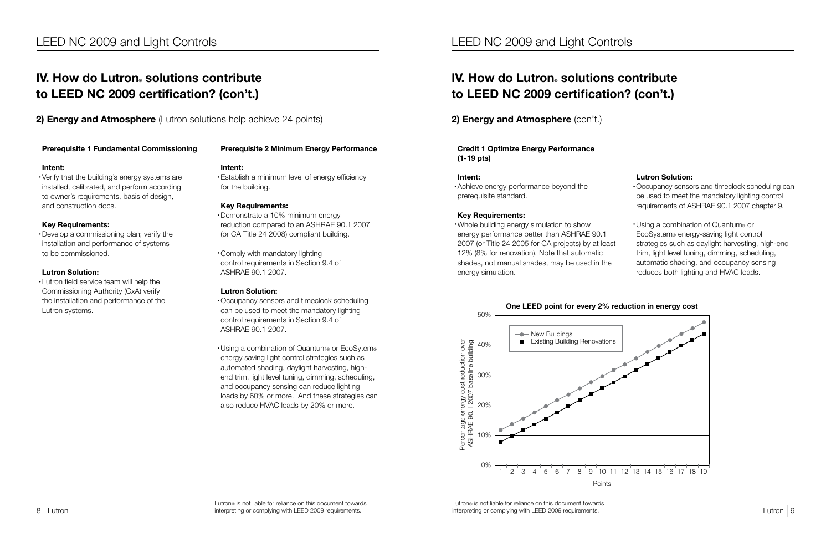$\frac{1}{2}$  Lutron interpreting or complying with LEED 2009 requirements. Lutron interpreting or complying with LEED 2009 requirements. Lutron® is not liable for reliance on this document towards interpreting or complying with LEED 2009 requirements.

# IV. How do Lutron® solutions contribute to LEED NC 2009 certification? (con't.)

**2) Energy and Atmosphere** (Lutron solutions help achieve 24 points)

#### Prerequisite 1 Fundamental Commissioning

#### Intent:

• Establish a minimum level of energy efficiency for the building.

• Verify that the building's energy systems are installed, calibrated, and perform according to owner's requirements, basis of design, and construction docs.

#### Key Requirements:

• Develop a commissioning plan; verify the installation and performance of systems to be commissioned.

#### Lutron Solution:

• Lutron field service team will help the Commissioning Authority (CxA) verify the installation and performance of the Lutron systems.

> • Using a combination of Quantum® or EcoSytem® energy saving light control strategies such as automated shading, daylight harvesting, highend trim, light level tuning, dimming, scheduling, and occupancy sensing can reduce lighting loads by 60% or more. And these strategies can also reduce HVAC loads by 20% or more.

#### Prerequisite 2 Minimum Energy Performance

#### Intent:

#### Key Requirements:

• Demonstrate a 10% minimum energy reduction compared to an ASHRAE 90.1 2007 (or CA Title 24 2008) compliant building.

• Comply with mandatory lighting control requirements in Section 9.4 of ASHRAE 90.1 2007.

#### Lutron Solution:

# IV. How do Lutron® solutions contribute to LEED NC 2009 certification? (con't.)

• Occupancy sensors and timeclock scheduling can be used to meet the mandatory lighting control requirements in Section 9.4 of ASHRAE 90.1 2007.

#### Credit 1 Optimize Energy Performance (1-19 pts)

#### Intent:

• Achieve energy performance beyond the prerequisite standard.

#### Key Requirements:

• Whole building energy simulation to show energy performance better than ASHRAE 90.1 2007 (or Title 24 2005 for CA projects) by at least 12% (8% for renovation). Note that automatic shades, not manual shades, may be used in the energy simulation.

#### Lutron Solution:

- • Occupancy sensors and timeclock scheduling can be used to meet the mandatory lighting control requirements of ASHRAE 90.1 2007 chapter 9.
- • Using a combination of Quantum® or EcoSystem® energy-saving light control strategies such as daylight harvesting, high-end trim, light level tuning, dimming, scheduling, automatic shading, and occupancy sensing reduces both lighting and HVAC loads.

### LEED NC 2009 and Light Controls

### 2) Energy and Atmosphere (con't.)

Points



#### One LEED point for every 2% reduction in energy cost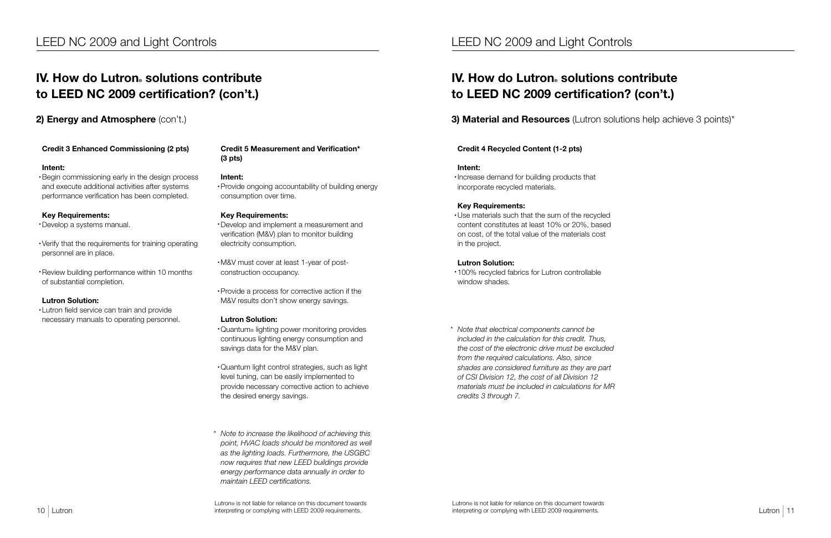Lutron by the construction of the constraints of the district of the constraints of the constraints of the construction of the constraints of the constraints of the constraints of the constraints of the constraints of the Lutron® is not liable for reliance on this document towards interpreting or complying with LEED 2009 requirements.

#### Credit 3 Enhanced Commissioning (2 pts)

#### Intent:

• Begin commissioning early in the design process and execute additional activities after systems performance verification has been completed.

#### Key Requirements:

• Develop a systems manual.

- • Verify that the requirements for training operating personnel are in place.
- • Review building performance within 10 months of substantial completion.

#### Lutron Solution:

• Lutron field service can train and provide necessary manuals to operating personnel.

#### Credit 5 Measurement and Verification\* (3 pts)

#### Intent:

• Provide ongoing accountability of building energy consumption over time.

#### Key Requirements:

# IV. How do Lutron® solutions contribute to LEED NC 2009 certification? (con't.)

2) Energy and Atmosphere (con't.)

• Develop and implement a measurement and verification (M&V) plan to monitor building electricity consumption.

# IV. How do Lutron® solutions contribute to LEED NC 2009 certification? (con't.)

### **3) Material and Resources** (Lutron solutions help achieve 3 points)\*

• M&V must cover at least 1-year of postconstruction occupancy.

• Provide a process for corrective action if the M&V results don't show energy savings.

#### Lutron Solution:

- • Quantum® lighting power monitoring provides continuous lighting energy consumption and savings data for the M&V plan.
- • Quantum light control strategies, such as light level tuning, can be easily implemented to provide necessary corrective action to achieve the desired energy savings.
- *\* Note to increase the likelihood of achieving this point, HVAC loads should be monitored as well as the lighting loads. Furthermore, the USGBC now requires that new LEED buildings provide energy performance data annually in order to maintain LEED certifications.*

#### Credit 4 Recycled Content (1-2 pts)

#### Intent:

• Increase demand for building products that incorporate recycled materials.

#### Key Requirements:

• Use materials such that the sum of the recycled content constitutes at least 10% or 20%, based on cost, of the total value of the materials cost in the project.

#### Lutron Solution:

- • 100% recycled fabrics for Lutron controllable window shades.
- *\* Note that electrical components cannot be included in the calculation for this credit. Thus, the cost of the electronic drive must be excluded from the required calculations. Also, since shades are considered furniture as they are part of CSI Division 12, the cost of all Division 12 materials must be included in calculations for MR credits 3 through 7.*

### LEED NC 2009 and Light Controls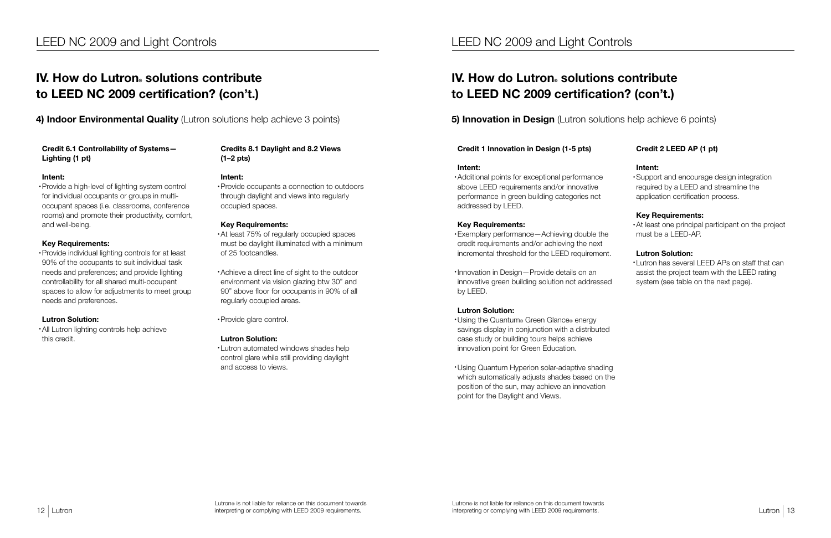#### Credit 6.1 Controllability of Systems— Lighting (1 pt)

#### Intent:

• Provide a high-level of lighting system control for individual occupants or groups in multioccupant spaces (i.e. classrooms, conference rooms) and promote their productivity, comfort, and well-being.

• All Lutron lighting controls help achieve this credit.

#### Key Requirements:

• At least 75% of regularly occupied spaces must be daylight illuminated with a minimum of 25 footcandles.

• Provide individual lighting controls for at least 90% of the occupants to suit individual task needs and preferences; and provide lighting controllability for all shared multi-occupant spaces to allow for adjustments to meet group needs and preferences.

# IV. How do Lutron® solutions contribute to LEED NC 2009 certification? (con't.)

4) Indoor Environmental Quality (Lutron solutions help achieve 3 points)

#### Lutron Solution:

# IV. How do Lutron® solutions contribute to LEED NC 2009 certification? (con't.)

### **5) Innovation in Design** (Lutron solutions help achieve 6 points)

#### Credits 8.1 Daylight and 8.2 Views (1–2 pts)

#### Intent:

• Provide occupants a connection to outdoors through daylight and views into regularly occupied spaces.

#### Key Requirements:

• Exemplary performance—Achieving double the credit requirements and/or achieving the next incremental threshold for the LEED requirement.

• Achieve a direct line of sight to the outdoor environment via vision glazing btw 30" and 90" above floor for occupants in 90% of all regularly occupied areas.

• Provide glare control.

#### Lutron Solution:

• Lutron automated windows shades help control glare while still providing daylight and access to views.

#### Credit 1 Innovation in Design (1-5 pts)

#### Intent:

• Additional points for exceptional performance above LEED requirements and/or innovative performance in green building categories not addressed by LEED.

#### Key Requirements:

• Innovation in Design—Provide details on an innovative green building solution not addressed by LEED.

#### Lutron Solution:

- • Using the Quantum® Green Glance® energy savings display in conjunction with a distributed case study or building tours helps achieve innovation point for Green Education.
- • Using Quantum Hyperion solar-adaptive shading which automatically adjusts shades based on the position of the sun, may achieve an innovation point for the Daylight and Views.

### Credit 2 LEED AP (1 pt)

#### Intent:

• Support and encourage design integration required by a LEED and streamline the application certification process.

#### Key Requirements:

• At least one principal participant on the project must be a LEED-AP.

#### Lutron Solution:

• Lutron has several LEED APs on staff that can assist the project team with the LEED rating system (see table on the next page).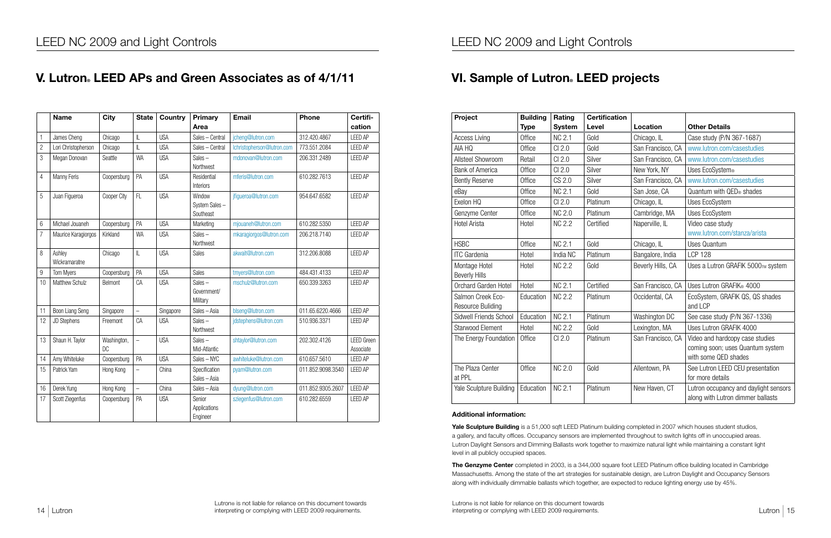Lutron the contract of the completion of the completion interpreting or complete the contract of the contract of the contract of the contract of the contract of the contract of the contract of the contract of the contract Lutron® is not liable for reliance on this document towards interpreting or complying with LEED 2009 requirements.

|                | <b>Name</b>             | <b>City</b>       | <b>State</b>             | Country    | <b>Primary</b><br>Area               | <b>Email</b>               | Phone             | Certifi-<br>cation             |
|----------------|-------------------------|-------------------|--------------------------|------------|--------------------------------------|----------------------------|-------------------|--------------------------------|
| 1              | James Cheng             | Chicago           | $\mathbb L$              | <b>USA</b> | Sales - Central                      | jcheng@lutron.com          | 312.420.4867      | <b>LEED AP</b>                 |
| $\overline{2}$ | Lori Christopherson     | Chicago           | $\mathbb L$              | <b>USA</b> | Sales - Central                      | lchristopherson@lutron.com | 773.551.2084      | <b>LEED AP</b>                 |
| 3              | Megan Donovan           | Seattle           | <b>WA</b>                | <b>USA</b> | $Sales -$<br>Northwest               | mdonovan@lutron.com        | 206.331.2489      | <b>LEED AP</b>                 |
| $\overline{4}$ | Manny Feris             | Coopersburg       | PA                       | <b>USA</b> | Residential<br>Interiors             | mferis@lutron.com          | 610.282.7613      | <b>LEED AP</b>                 |
| 5              | Juan Figueroa           | Cooper City       | FL                       | <b>USA</b> | Window<br>System Sales-<br>Southeast | jfigueroa@lutron.com       | 954.647.6582      | <b>LEED AP</b>                 |
| 6              | Michael Jouaneh         | Coopersburg       | PA                       | <b>USA</b> | Marketing                            | mjouaneh@lutron.com        | 610.282.5350      | <b>LEED AP</b>                 |
| $\overline{7}$ | Maurice Karagiorgos     | Kirkland          | <b>WA</b>                | <b>USA</b> | $Sales -$<br>Northwest               | mkaragiorgos@lutron.com    | 206.218.7140      | <b>LEED AP</b>                 |
| 8              | Ashley<br>Wickramaratne | Chicago           | $\mathbb L$              | <b>USA</b> | Sales                                | akwait@lutron.com          | 312.206.8088      | <b>LEED AP</b>                 |
| 9              | <b>Tom Myers</b>        | Coopersburg       | PA                       | <b>USA</b> | Sales                                | tmyers@lutron.com          | 484.431.4133      | <b>LEED AP</b>                 |
| 10             | <b>Matthew Schulz</b>   | Belmont           | CA                       | <b>USA</b> | Sales $-$<br>Government/<br>Military | mschulz@lutron.com         | 650.339.3263      | <b>LEED AP</b>                 |
| 11             | Boon Liang Seng         | Singapore         | $\overline{a}$           | Singapore  | Sales - Asia                         | blseng@lutron.com          | 011.65.6220.4666  | <b>LEED AP</b>                 |
| 12             | JD Stephens             | Freemont          | CA                       | <b>USA</b> | Sales $-$<br>Northwest               | jdstephens@lutron.com      | 510.936.3371      | <b>LEED AP</b>                 |
| 13             | Shaun H. Taylor         | Washington,<br>DC | $\overline{a}$           | <b>USA</b> | Sales-<br>Mid-Atlantic               | shtaylor@lutron.com        | 202.302.4126      | <b>LEED Green</b><br>Associate |
| 14             | Amy Whiteluke           | Coopersburg       | PA                       | <b>USA</b> | Sales - NYC                          | awhiteluke@lutron.com      | 610.657.5610      | <b>LEED AP</b>                 |
| 15             | Patrick Yam             | Hong Kong         | $\overline{\phantom{0}}$ | China      | Specification<br>Sales - Asia        | pyam@lutron.com            | 011.852.9098.3540 | <b>LEED AP</b>                 |
| 16             | Derek Yung              | Hong Kong         | $\overline{\phantom{0}}$ | China      | Sales - Asia                         | dyung@lutron.com           | 011.852.9305.2607 | <b>LEED AP</b>                 |
| 17             | Scott Ziegenfus         | Coopersburg       | PA                       | <b>USA</b> | Senior<br>Applications<br>Engineer   | sziegenfus@lutron.com      | 610.282.6559      | <b>LEED AP</b>                 |

# VI. Sample of Lutron. LEED projects

Yale Sculpture Building is a 51,000 sqft LEED Platinum building completed in 2007 which houses student studios, a gallery, and faculty offices. Occupancy sensors are implemented throughout to switch lights off in unoccupied areas. Lutron Daylight Sensors and Dimming Ballasts work together to maximize natural light while maintaining a constant light level in all publicly occupied spaces.

The Genzyme Center completed in 2003, is a 344,000 square foot LEED Platinum office building located in Cambridge Massachusetts. Among the state of the art strategies for sustainable design, are Lutron Daylight and Occupancy Sensors along with individually dimmable ballasts which together, are expected to reduce lighting energy use by 45%.

| Project                  | <b>Building</b> | Rating        | <b>Certification</b> |                   |                                       |
|--------------------------|-----------------|---------------|----------------------|-------------------|---------------------------------------|
|                          | <b>Type</b>     | <b>System</b> | Level                | Location          | <b>Other Details</b>                  |
| <b>Access Living</b>     | Office          | <b>NC 2.1</b> | Gold                 | Chicago, IL       | Case study (P/N 367-1687)             |
| AIA HQ                   | Office          | CI 2.0        | Gold                 | San Francisco, CA | www.lutron.com/casestudies            |
| Allsteel Showroom        | Retail          | CI 2.0        | Silver               | San Francisco, CA | www.lutron.com/casestudies            |
| <b>Bank of America</b>   | Office          | CI 2.0        | Silver               | New York, NY      | Uses EcoSystem®                       |
| <b>Bently Reserve</b>    | Office          | CS 2.0        | Silver               | San Francisco, CA | www.lutron.com/casestudies            |
| eBay                     | Office          | <b>NC 2.1</b> | Gold                 | San Jose, CA      | Quantum with QED® shades              |
| Exelon HQ                | Office          | CI 2.0        | Platinum             | Chicago, IL       | Uses EcoSystem                        |
| Genzyme Center           | Office          | <b>NC 2.0</b> | Platinum             | Cambridge, MA     | Uses EcoSystem                        |
| <b>Hotel Arista</b>      | Hotel           | <b>NC 2.2</b> | Certified            | Naperville, IL    | Video case study                      |
|                          |                 |               |                      |                   | www.lutron.com/stanza/arista          |
| <b>HSBC</b>              | Office          | <b>NC 2.1</b> | Gold                 | Chicago, IL       | <b>Uses Quantum</b>                   |
| <b>ITC</b> Gardenia      | Hotel           | India NC      | Platinum             | Bangalore, India  | <b>LCP 128</b>                        |
| Montage Hotel            | Hotel           | <b>NC 2.2</b> | Gold                 | Beverly Hills, CA | Uses a Lutron GRAFIK 5000TM system    |
| <b>Beverly Hills</b>     |                 |               |                      |                   |                                       |
| Orchard Garden Hotel     | Hotel           | <b>NC 2.1</b> | Certified            | San Francisco, CA | Uses Lutron GRAFIK® 4000              |
| Salmon Creek Eco-        | Education       | <b>NC 2.2</b> | Platinum             | Occidental, CA    | EcoSystem, GRAFIK QS, QS shades       |
| <b>Resource Buliding</b> |                 |               |                      |                   | and LCP                               |
| Sidwell Friends School   | Education       | <b>NC 2.1</b> | Platinum             | Washington DC     | See case study (P/N 367-1336)         |
| <b>Starwood Element</b>  | Hotel           | <b>NC 2.2</b> | Gold                 | Lexington, MA     | Uses Lutron GRAFIK 4000               |
| The Energy Foundation    | Office          | CI 2.0        | Platinum             | San Francisco, CA | Video and hardcopy case studies       |
|                          |                 |               |                      |                   | coming soon; uses Quantum system      |
|                          |                 |               |                      |                   | with some QED shades                  |
| The Plaza Center         | Office          | <b>NC 2.0</b> | Gold                 | Allentown, PA     | See Lutron LEED CEU presentation      |
| at PPL                   |                 |               |                      |                   | for more details                      |
| Yale Sculpture Building  | Education       | <b>NC 2.1</b> | Platinum             | New Haven, CT     | Lutron occupancy and daylight sensors |
|                          |                 |               |                      |                   | along with Lutron dimmer ballasts     |

# V. Lutron. LEED APs and Green Associates as of 4/1/11

#### Additional information: